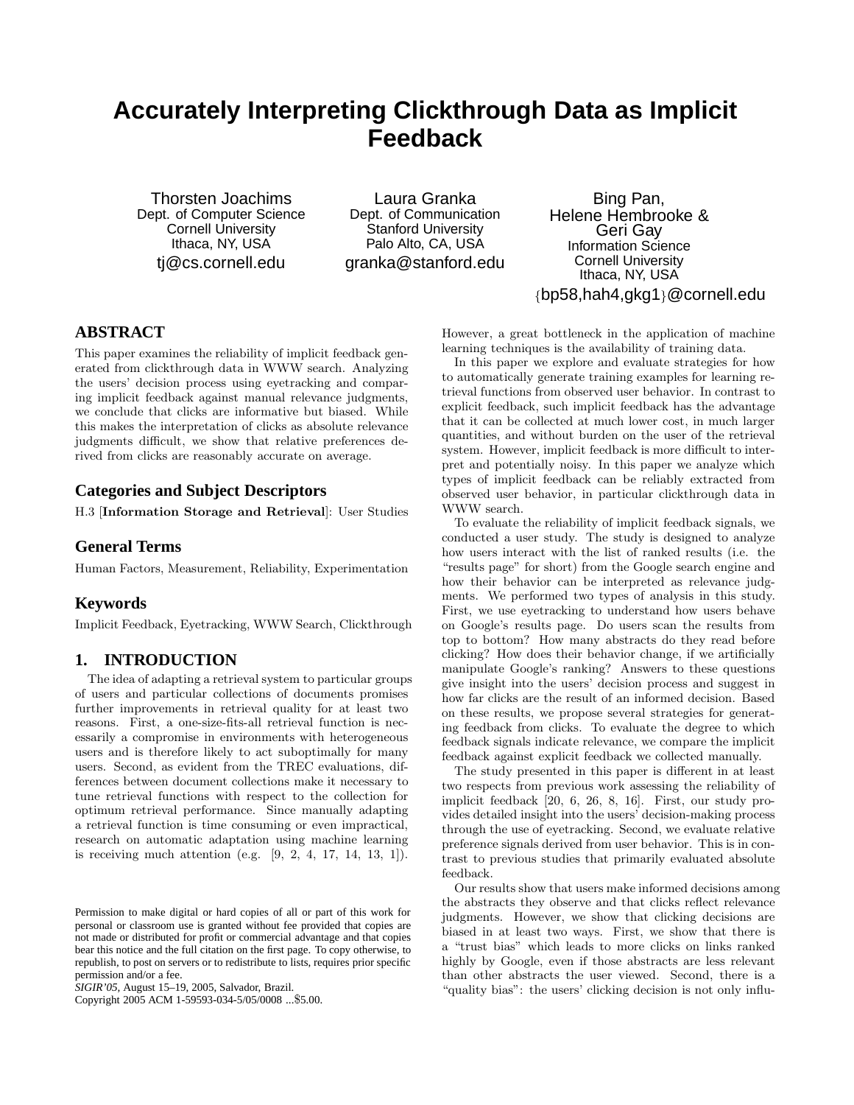# **Accurately Interpreting Clickthrough Data as Implicit Feedback**

Thorsten Joachims Dept. of Computer Science Cornell University Ithaca, NY, USA tj@cs.cornell.edu

Laura Granka Dept. of Communication Stanford University Palo Alto, CA, USA granka@stanford.edu

Bing Pan, Helene Hembrooke & Geri Gay Information Science Cornell University Ithaca, NY, USA {bp58,hah4,gkg1}@cornell.edu

# **ABSTRACT**

This paper examines the reliability of implicit feedback generated from clickthrough data in WWW search. Analyzing the users' decision process using eyetracking and comparing implicit feedback against manual relevance judgments, we conclude that clicks are informative but biased. While this makes the interpretation of clicks as absolute relevance judgments difficult, we show that relative preferences derived from clicks are reasonably accurate on average.

# **Categories and Subject Descriptors**

H.3 [**Information Storage and Retrieval**]: User Studies

# **General Terms**

Human Factors, Measurement, Reliability, Experimentation

#### **Keywords**

Implicit Feedback, Eyetracking, WWW Search, Clickthrough

# **1. INTRODUCTION**

The idea of adapting a retrieval system to particular groups of users and particular collections of documents promises further improvements in retrieval quality for at least two reasons. First, a one-size-fits-all retrieval function is necessarily a compromise in environments with heterogeneous users and is therefore likely to act suboptimally for many users. Second, as evident from the TREC evaluations, differences between document collections make it necessary to tune retrieval functions with respect to the collection for optimum retrieval performance. Since manually adapting a retrieval function is time consuming or even impractical, research on automatic adaptation using machine learning is receiving much attention (e.g. [9, 2, 4, 17, 14, 13, 1]).

Copyright 2005 ACM 1-59593-034-5/05/0008 ...\$5.00.

However, a great bottleneck in the application of machine learning techniques is the availability of training data.

In this paper we explore and evaluate strategies for how to automatically generate training examples for learning retrieval functions from observed user behavior. In contrast to explicit feedback, such implicit feedback has the advantage that it can be collected at much lower cost, in much larger quantities, and without burden on the user of the retrieval system. However, implicit feedback is more difficult to interpret and potentially noisy. In this paper we analyze which types of implicit feedback can be reliably extracted from observed user behavior, in particular clickthrough data in WWW search.

To evaluate the reliability of implicit feedback signals, we conducted a user study. The study is designed to analyze how users interact with the list of ranked results (i.e. the "results page" for short) from the Google search engine and how their behavior can be interpreted as relevance judgments. We performed two types of analysis in this study. First, we use eyetracking to understand how users behave on Google's results page. Do users scan the results from top to bottom? How many abstracts do they read before clicking? How does their behavior change, if we artificially manipulate Google's ranking? Answers to these questions give insight into the users' decision process and suggest in how far clicks are the result of an informed decision. Based on these results, we propose several strategies for generating feedback from clicks. To evaluate the degree to which feedback signals indicate relevance, we compare the implicit feedback against explicit feedback we collected manually.

The study presented in this paper is different in at least two respects from previous work assessing the reliability of implicit feedback [20, 6, 26, 8, 16]. First, our study provides detailed insight into the users' decision-making process through the use of eyetracking. Second, we evaluate relative preference signals derived from user behavior. This is in contrast to previous studies that primarily evaluated absolute feedback.

Our results show that users make informed decisions among the abstracts they observe and that clicks reflect relevance judgments. However, we show that clicking decisions are biased in at least two ways. First, we show that there is a "trust bias" which leads to more clicks on links ranked highly by Google, even if those abstracts are less relevant than other abstracts the user viewed. Second, there is a "quality bias": the users' clicking decision is not only influ-

Permission to make digital or hard copies of all or part of this work for personal or classroom use is granted without fee provided that copies are not made or distributed for profit or commercial advantage and that copies bear this notice and the full citation on the first page. To copy otherwise, to republish, to post on servers or to redistribute to lists, requires prior specific permission and/or a fee.

*SIGIR'05,* August 15–19, 2005, Salvador, Brazil.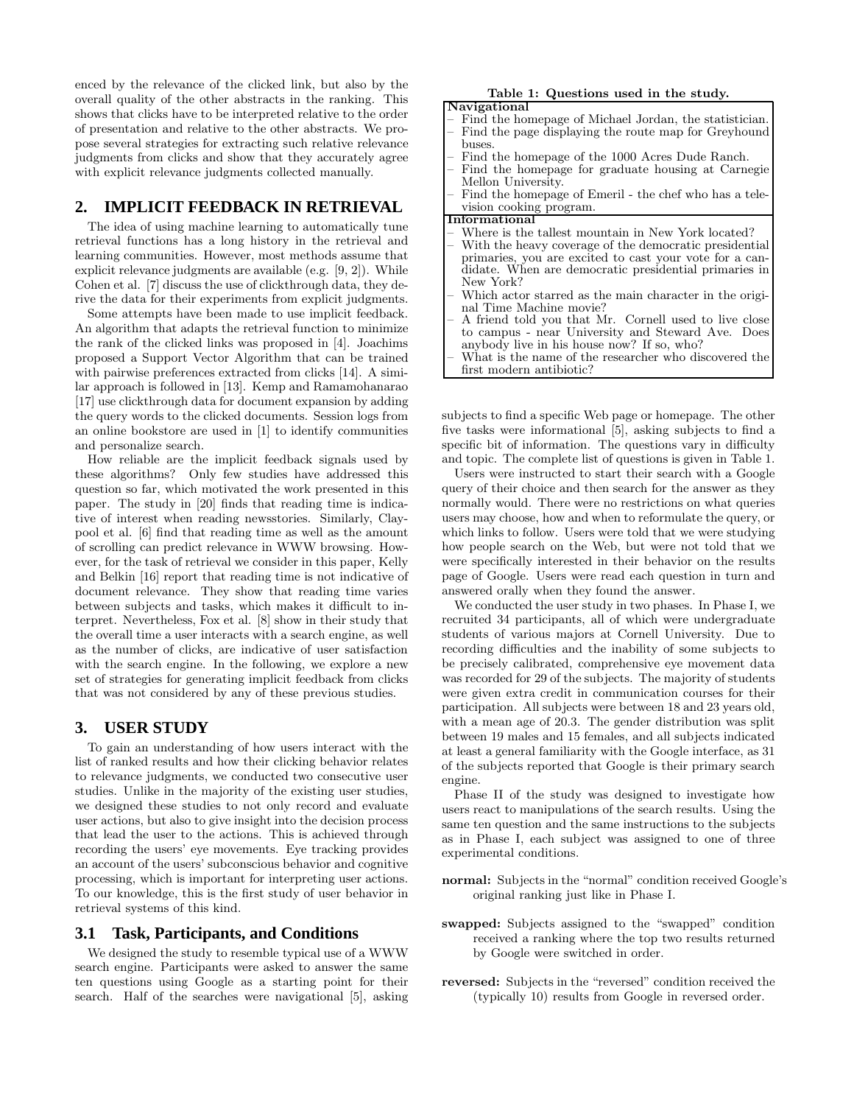enced by the relevance of the clicked link, but also by the overall quality of the other abstracts in the ranking. This shows that clicks have to be interpreted relative to the order of presentation and relative to the other abstracts. We propose several strategies for extracting such relative relevance judgments from clicks and show that they accurately agree with explicit relevance judgments collected manually.

# **2. IMPLICIT FEEDBACK IN RETRIEVAL**

The idea of using machine learning to automatically tune retrieval functions has a long history in the retrieval and learning communities. However, most methods assume that explicit relevance judgments are available (e.g. [9, 2]). While Cohen et al. [7] discuss the use of clickthrough data, they derive the data for their experiments from explicit judgments.

Some attempts have been made to use implicit feedback. An algorithm that adapts the retrieval function to minimize the rank of the clicked links was proposed in [4]. Joachims proposed a Support Vector Algorithm that can be trained with pairwise preferences extracted from clicks [14]. A similar approach is followed in [13]. Kemp and Ramamohanarao [17] use clickthrough data for document expansion by adding the query words to the clicked documents. Session logs from an online bookstore are used in [1] to identify communities and personalize search.

How reliable are the implicit feedback signals used by these algorithms? Only few studies have addressed this question so far, which motivated the work presented in this paper. The study in [20] finds that reading time is indicative of interest when reading newsstories. Similarly, Claypool et al. [6] find that reading time as well as the amount of scrolling can predict relevance in WWW browsing. However, for the task of retrieval we consider in this paper, Kelly and Belkin [16] report that reading time is not indicative of document relevance. They show that reading time varies between subjects and tasks, which makes it difficult to interpret. Nevertheless, Fox et al. [8] show in their study that the overall time a user interacts with a search engine, as well as the number of clicks, are indicative of user satisfaction with the search engine. In the following, we explore a new set of strategies for generating implicit feedback from clicks that was not considered by any of these previous studies.

## **3. USER STUDY**

To gain an understanding of how users interact with the list of ranked results and how their clicking behavior relates to relevance judgments, we conducted two consecutive user studies. Unlike in the majority of the existing user studies, we designed these studies to not only record and evaluate user actions, but also to give insight into the decision process that lead the user to the actions. This is achieved through recording the users' eye movements. Eye tracking provides an account of the users' subconscious behavior and cognitive processing, which is important for interpreting user actions. To our knowledge, this is the first study of user behavior in retrieval systems of this kind.

#### **3.1 Task, Participants, and Conditions**

We designed the study to resemble typical use of a WWW search engine. Participants were asked to answer the same ten questions using Google as a starting point for their search. Half of the searches were navigational [5], asking

#### **Table 1: Questions used in the study.**

#### **Navigational**

- Find the homepage of Michael Jordan, the statistician. – Find the page displaying the route map for Greyhound
- buses.
- Find the homepage of the 1000 Acres Dude Ranch. – Find the homepage for graduate housing at Carnegie Mellon University.
- Find the homepage of Emeril the chef who has a television cooking program.

#### **Informational**

- Where is the tallest mountain in New York located?
- With the heavy coverage of the democratic presidential primaries, you are excited to cast your vote for a candidate. When are democratic presidential primaries in New York?
- Which actor starred as the main character in the original Time Machine movie?
- A friend told you that Mr. Cornell used to live close to campus - near University and Steward Ave. Does anybody live in his house now? If so, who?
- What is the name of the researcher who discovered the first modern antibiotic?

subjects to find a specific Web page or homepage. The other five tasks were informational [5], asking subjects to find a specific bit of information. The questions vary in difficulty and topic. The complete list of questions is given in Table 1.

Users were instructed to start their search with a Google query of their choice and then search for the answer as they normally would. There were no restrictions on what queries users may choose, how and when to reformulate the query, or which links to follow. Users were told that we were studying how people search on the Web, but were not told that we were specifically interested in their behavior on the results page of Google. Users were read each question in turn and answered orally when they found the answer.

We conducted the user study in two phases. In Phase I, we recruited 34 participants, all of which were undergraduate students of various majors at Cornell University. Due to recording difficulties and the inability of some subjects to be precisely calibrated, comprehensive eye movement data was recorded for 29 of the subjects. The majority of students were given extra credit in communication courses for their participation. All subjects were between 18 and 23 years old, with a mean age of 20.3. The gender distribution was split between 19 males and 15 females, and all subjects indicated at least a general familiarity with the Google interface, as 31 of the subjects reported that Google is their primary search engine.

Phase II of the study was designed to investigate how users react to manipulations of the search results. Using the same ten question and the same instructions to the subjects as in Phase I, each subject was assigned to one of three experimental conditions.

- **normal:** Subjects in the "normal" condition received Google's original ranking just like in Phase I.
- **swapped:** Subjects assigned to the "swapped" condition received a ranking where the top two results returned by Google were switched in order.
- **reversed:** Subjects in the "reversed" condition received the (typically 10) results from Google in reversed order.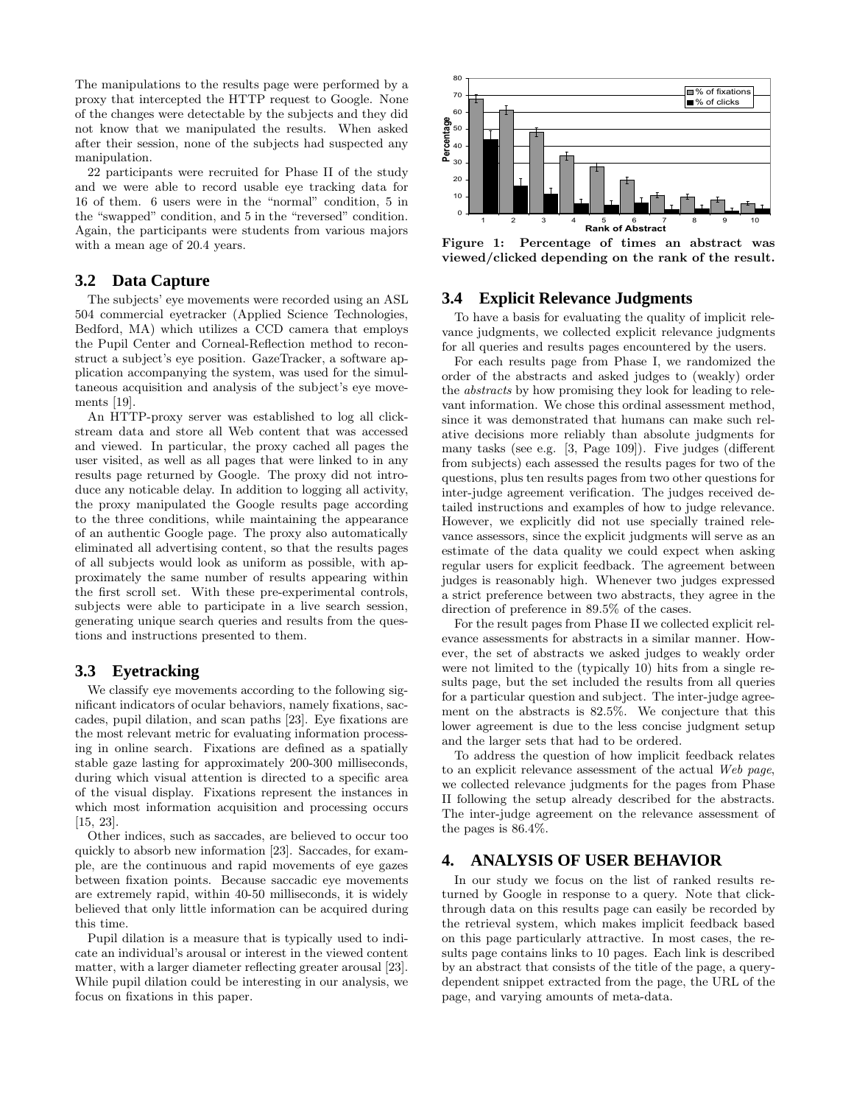The manipulations to the results page were performed by a proxy that intercepted the HTTP request to Google. None of the changes were detectable by the subjects and they did not know that we manipulated the results. When asked after their session, none of the subjects had suspected any manipulation.

22 participants were recruited for Phase II of the study and we were able to record usable eye tracking data for 16 of them. 6 users were in the "normal" condition, 5 in the "swapped" condition, and 5 in the "reversed" condition. Again, the participants were students from various majors with a mean age of 20.4 years.

## **3.2 Data Capture**

The subjects' eye movements were recorded using an ASL 504 commercial eyetracker (Applied Science Technologies, Bedford, MA) which utilizes a CCD camera that employs the Pupil Center and Corneal-Reflection method to reconstruct a subject's eye position. GazeTracker, a software application accompanying the system, was used for the simultaneous acquisition and analysis of the subject's eye movements [19].

An HTTP-proxy server was established to log all clickstream data and store all Web content that was accessed and viewed. In particular, the proxy cached all pages the user visited, as well as all pages that were linked to in any results page returned by Google. The proxy did not introduce any noticable delay. In addition to logging all activity, the proxy manipulated the Google results page according to the three conditions, while maintaining the appearance of an authentic Google page. The proxy also automatically eliminated all advertising content, so that the results pages of all subjects would look as uniform as possible, with approximately the same number of results appearing within the first scroll set. With these pre-experimental controls, subjects were able to participate in a live search session, generating unique search queries and results from the questions and instructions presented to them.

#### **3.3 Eyetracking**

We classify eye movements according to the following significant indicators of ocular behaviors, namely fixations, saccades, pupil dilation, and scan paths [23]. Eye fixations are the most relevant metric for evaluating information processing in online search. Fixations are defined as a spatially stable gaze lasting for approximately 200-300 milliseconds, during which visual attention is directed to a specific area of the visual display. Fixations represent the instances in which most information acquisition and processing occurs [15, 23].

Other indices, such as saccades, are believed to occur too quickly to absorb new information [23]. Saccades, for example, are the continuous and rapid movements of eye gazes between fixation points. Because saccadic eye movements are extremely rapid, within 40-50 milliseconds, it is widely believed that only little information can be acquired during this time.

Pupil dilation is a measure that is typically used to indicate an individual's arousal or interest in the viewed content matter, with a larger diameter reflecting greater arousal [23]. While pupil dilation could be interesting in our analysis, we focus on fixations in this paper.



**Figure 1: Percentage of times an abstract was viewed/clicked depending on the rank of the result.**

#### **3.4 Explicit Relevance Judgments**

To have a basis for evaluating the quality of implicit relevance judgments, we collected explicit relevance judgments for all queries and results pages encountered by the users.

For each results page from Phase I, we randomized the order of the abstracts and asked judges to (weakly) order the *abstracts* by how promising they look for leading to relevant information. We chose this ordinal assessment method, since it was demonstrated that humans can make such relative decisions more reliably than absolute judgments for many tasks (see e.g. [3, Page 109]). Five judges (different from subjects) each assessed the results pages for two of the questions, plus ten results pages from two other questions for inter-judge agreement verification. The judges received detailed instructions and examples of how to judge relevance. However, we explicitly did not use specially trained relevance assessors, since the explicit judgments will serve as an estimate of the data quality we could expect when asking regular users for explicit feedback. The agreement between judges is reasonably high. Whenever two judges expressed a strict preference between two abstracts, they agree in the direction of preference in 89.5% of the cases.

For the result pages from Phase II we collected explicit relevance assessments for abstracts in a similar manner. However, the set of abstracts we asked judges to weakly order were not limited to the (typically 10) hits from a single results page, but the set included the results from all queries for a particular question and subject. The inter-judge agreement on the abstracts is 82.5%. We conjecture that this lower agreement is due to the less concise judgment setup and the larger sets that had to be ordered.

To address the question of how implicit feedback relates to an explicit relevance assessment of the actual *Web page*, we collected relevance judgments for the pages from Phase II following the setup already described for the abstracts. The inter-judge agreement on the relevance assessment of the pages is 86.4%.

### **4. ANALYSIS OF USER BEHAVIOR**

In our study we focus on the list of ranked results returned by Google in response to a query. Note that clickthrough data on this results page can easily be recorded by the retrieval system, which makes implicit feedback based on this page particularly attractive. In most cases, the results page contains links to 10 pages. Each link is described by an abstract that consists of the title of the page, a querydependent snippet extracted from the page, the URL of the page, and varying amounts of meta-data.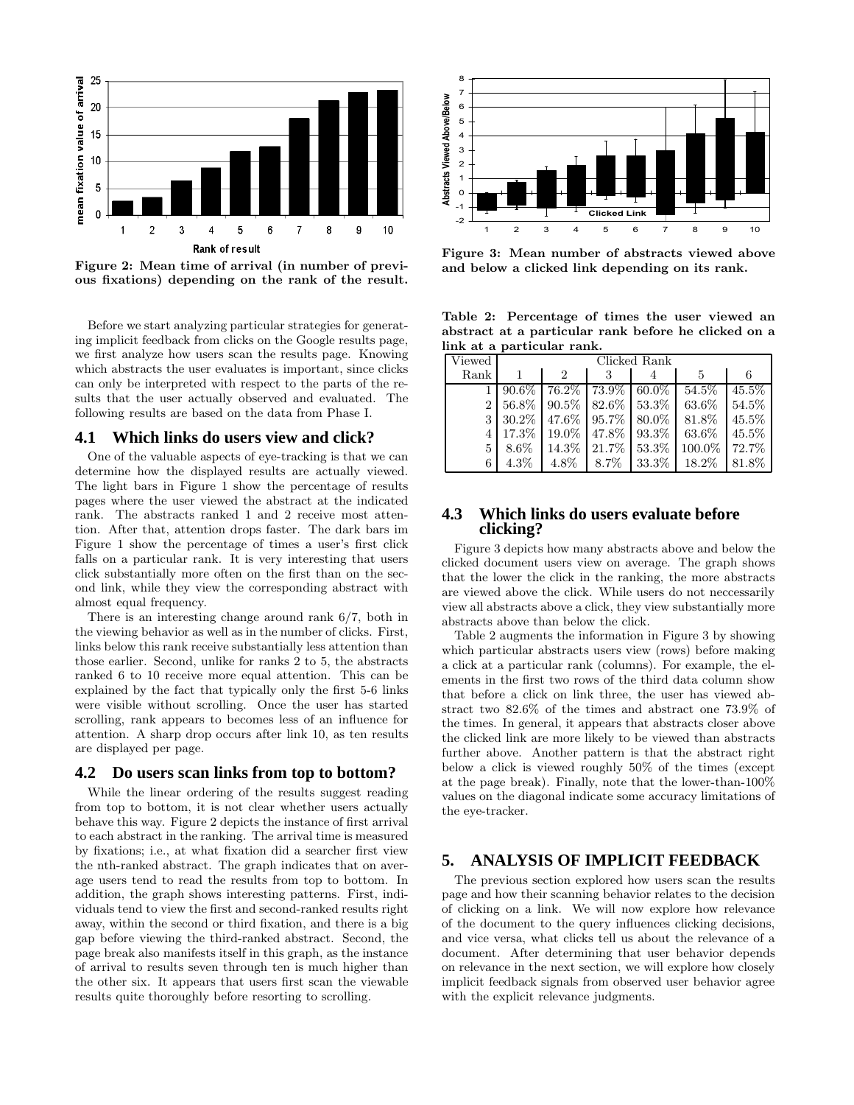

**Figure 2: Mean time of arrival (in number of previous fixations) depending on the rank of the result.**

Before we start analyzing particular strategies for generating implicit feedback from clicks on the Google results page, we first analyze how users scan the results page. Knowing which abstracts the user evaluates is important, since clicks can only be interpreted with respect to the parts of the results that the user actually observed and evaluated. The following results are based on the data from Phase I.

## **4.1 Which links do users view and click?**

One of the valuable aspects of eye-tracking is that we can determine how the displayed results are actually viewed. The light bars in Figure 1 show the percentage of results pages where the user viewed the abstract at the indicated rank. The abstracts ranked 1 and 2 receive most attention. After that, attention drops faster. The dark bars im Figure 1 show the percentage of times a user's first click falls on a particular rank. It is very interesting that users click substantially more often on the first than on the second link, while they view the corresponding abstract with almost equal frequency.

There is an interesting change around rank 6/7, both in the viewing behavior as well as in the number of clicks. First, links below this rank receive substantially less attention than those earlier. Second, unlike for ranks 2 to 5, the abstracts ranked 6 to 10 receive more equal attention. This can be explained by the fact that typically only the first 5-6 links were visible without scrolling. Once the user has started scrolling, rank appears to becomes less of an influence for attention. A sharp drop occurs after link 10, as ten results are displayed per page.

#### **4.2 Do users scan links from top to bottom?**

While the linear ordering of the results suggest reading from top to bottom, it is not clear whether users actually behave this way. Figure 2 depicts the instance of first arrival to each abstract in the ranking. The arrival time is measured by fixations; i.e., at what fixation did a searcher first view the nth-ranked abstract. The graph indicates that on average users tend to read the results from top to bottom. In addition, the graph shows interesting patterns. First, individuals tend to view the first and second-ranked results right away, within the second or third fixation, and there is a big gap before viewing the third-ranked abstract. Second, the page break also manifests itself in this graph, as the instance of arrival to results seven through ten is much higher than the other six. It appears that users first scan the viewable results quite thoroughly before resorting to scrolling.



**Figure 3: Mean number of abstracts viewed above and below a clicked link depending on its rank.**

**Table 2: Percentage of times the user viewed an abstract at a particular rank before he clicked on a link at a particular rank.**

| Viewed       | Clicked Rank |          |                            |           |        |          |  |  |
|--------------|--------------|----------|----------------------------|-----------|--------|----------|--|--|
| Rank         |              | 2        |                            |           | 5      | 6        |  |  |
|              | $90.6\%$     | 76.2%    | $173.9\%$ 60.0\%           |           | 54.5%  | $45.5\%$ |  |  |
| 2            | 56.8%        | $90.5\%$ | 82.6%                      | $-53.3\%$ | 63.6%  | 54.5%    |  |  |
| $\mathbf{3}$ | $30.2\%$     |          | $47.6\%$   95.7\%   80.0\% |           | 81.8%  | 45.5%    |  |  |
| 4            | 17.3%        | 19.0%    | 47.8%                      | $93.3\%$  | 63.6%  | 45.5%    |  |  |
| 5            | $8.6\%$      | 14.3%    | $121.7\%$                  | $53.3\%$  | 100.0% | 72.7%    |  |  |
| 6            | $4.3\%$      | 4.8%     | $8.7\%$                    | 33.3%     | 18.2%  | 81.8%    |  |  |

## **4.3 Which links do users evaluate before clicking?**

Figure 3 depicts how many abstracts above and below the clicked document users view on average. The graph shows that the lower the click in the ranking, the more abstracts are viewed above the click. While users do not neccessarily view all abstracts above a click, they view substantially more abstracts above than below the click.

Table 2 augments the information in Figure 3 by showing which particular abstracts users view (rows) before making a click at a particular rank (columns). For example, the elements in the first two rows of the third data column show that before a click on link three, the user has viewed abstract two 82.6% of the times and abstract one 73.9% of the times. In general, it appears that abstracts closer above the clicked link are more likely to be viewed than abstracts further above. Another pattern is that the abstract right below a click is viewed roughly 50% of the times (except at the page break). Finally, note that the lower-than-100% values on the diagonal indicate some accuracy limitations of the eye-tracker.

# **5. ANALYSIS OF IMPLICIT FEEDBACK**

The previous section explored how users scan the results page and how their scanning behavior relates to the decision of clicking on a link. We will now explore how relevance of the document to the query influences clicking decisions, and vice versa, what clicks tell us about the relevance of a document. After determining that user behavior depends on relevance in the next section, we will explore how closely implicit feedback signals from observed user behavior agree with the explicit relevance judgments.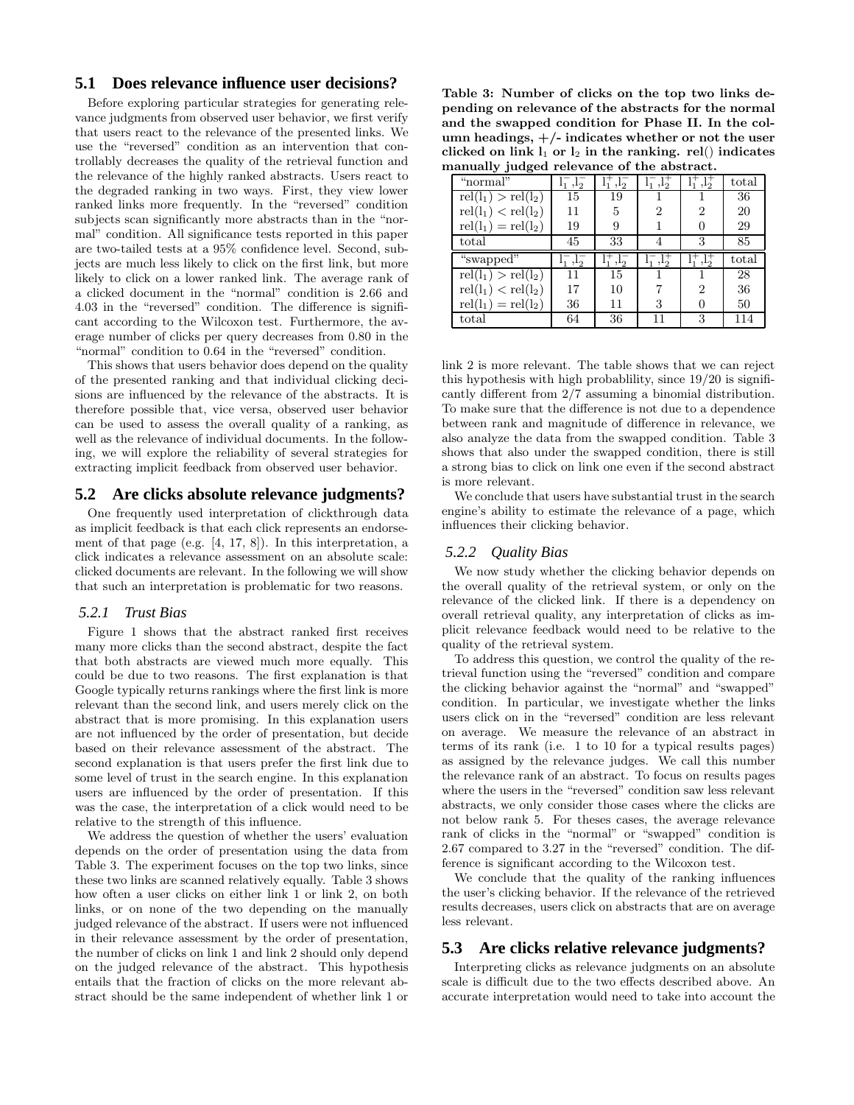## **5.1 Does relevance influence user decisions?**

Before exploring particular strategies for generating relevance judgments from observed user behavior, we first verify that users react to the relevance of the presented links. We use the "reversed" condition as an intervention that controllably decreases the quality of the retrieval function and the relevance of the highly ranked abstracts. Users react to the degraded ranking in two ways. First, they view lower ranked links more frequently. In the "reversed" condition subjects scan significantly more abstracts than in the "normal" condition. All significance tests reported in this paper are two-tailed tests at a 95% confidence level. Second, subjects are much less likely to click on the first link, but more likely to click on a lower ranked link. The average rank of a clicked document in the "normal" condition is 2.66 and 4.03 in the "reversed" condition. The difference is significant according to the Wilcoxon test. Furthermore, the average number of clicks per query decreases from 0.80 in the "normal" condition to 0.64 in the "reversed" condition.

This shows that users behavior does depend on the quality of the presented ranking and that individual clicking decisions are influenced by the relevance of the abstracts. It is therefore possible that, vice versa, observed user behavior can be used to assess the overall quality of a ranking, as well as the relevance of individual documents. In the following, we will explore the reliability of several strategies for extracting implicit feedback from observed user behavior.

#### **5.2 Are clicks absolute relevance judgments?**

One frequently used interpretation of clickthrough data as implicit feedback is that each click represents an endorsement of that page (e.g. [4, 17, 8]). In this interpretation, a click indicates a relevance assessment on an absolute scale: clicked documents are relevant. In the following we will show that such an interpretation is problematic for two reasons.

#### *5.2.1 Trust Bias*

Figure 1 shows that the abstract ranked first receives many more clicks than the second abstract, despite the fact that both abstracts are viewed much more equally. This could be due to two reasons. The first explanation is that Google typically returns rankings where the first link is more relevant than the second link, and users merely click on the abstract that is more promising. In this explanation users are not influenced by the order of presentation, but decide based on their relevance assessment of the abstract. The second explanation is that users prefer the first link due to some level of trust in the search engine. In this explanation users are influenced by the order of presentation. If this was the case, the interpretation of a click would need to be relative to the strength of this influence.

We address the question of whether the users' evaluation depends on the order of presentation using the data from Table 3. The experiment focuses on the top two links, since these two links are scanned relatively equally. Table 3 shows how often a user clicks on either link 1 or link 2, on both links, or on none of the two depending on the manually judged relevance of the abstract. If users were not influenced in their relevance assessment by the order of presentation, the number of clicks on link 1 and link 2 should only depend on the judged relevance of the abstract. This hypothesis entails that the fraction of clicks on the more relevant abstract should be the same independent of whether link 1 or

**Table 3: Number of clicks on the top two links depending on relevance of the abstracts for the normal and the swapped condition for Phase II. In the column headings, +/- indicates whether or not the user clicked on link l**<sup>1</sup> **or l**<sup>2</sup> **in the ranking. rel**() **indicates manually judged relevance of the abstract.**

| "normal"              | $1^{-}_{1}$ , $1^{-}_{2}$ |    | $l_1^-, l_2^+$ | $l_1^+, l_2^+$ | total          |
|-----------------------|---------------------------|----|----------------|----------------|----------------|
| $rel(l1) > rel(l2)$   | 15                        | 19 |                |                | 36             |
| $rel(l1) < rel(l2)$   | 11                        | 5  | 2              | 2              | 20             |
| $rel(l1) = rel(l2)$   | 19                        |    |                |                | 29             |
| $_{\rm total}$        | 45                        | 33 |                | 3              | 85             |
|                       |                           |    |                |                |                |
| "swapped"             | $\cdot$ <sup>1</sup>      |    |                |                | $_{\rm total}$ |
| $rel(l_1) > rel(l_2)$ | 11                        | 15 |                |                | 28             |
| $rel(l1) < rel(l2)$   | 17                        | 10 |                | 2              | 36             |
| $rel(l1) = rel(l2)$   | 36                        | 11 | 3              |                | 50             |

link 2 is more relevant. The table shows that we can reject this hypothesis with high probablility, since 19*/*20 is significantly different from 2*/*7 assuming a binomial distribution. To make sure that the difference is not due to a dependence between rank and magnitude of difference in relevance, we also analyze the data from the swapped condition. Table 3 shows that also under the swapped condition, there is still a strong bias to click on link one even if the second abstract is more relevant.

We conclude that users have substantial trust in the search engine's ability to estimate the relevance of a page, which influences their clicking behavior.

#### *5.2.2 Quality Bias*

We now study whether the clicking behavior depends on the overall quality of the retrieval system, or only on the relevance of the clicked link. If there is a dependency on overall retrieval quality, any interpretation of clicks as implicit relevance feedback would need to be relative to the quality of the retrieval system.

To address this question, we control the quality of the retrieval function using the "reversed" condition and compare the clicking behavior against the "normal" and "swapped" condition. In particular, we investigate whether the links users click on in the "reversed" condition are less relevant on average. We measure the relevance of an abstract in terms of its rank (i.e. 1 to 10 for a typical results pages) as assigned by the relevance judges. We call this number the relevance rank of an abstract. To focus on results pages where the users in the "reversed" condition saw less relevant abstracts, we only consider those cases where the clicks are not below rank 5. For theses cases, the average relevance rank of clicks in the "normal" or "swapped" condition is 2.67 compared to 3.27 in the "reversed" condition. The difference is significant according to the Wilcoxon test.

We conclude that the quality of the ranking influences the user's clicking behavior. If the relevance of the retrieved results decreases, users click on abstracts that are on average less relevant.

#### **5.3 Are clicks relative relevance judgments?**

Interpreting clicks as relevance judgments on an absolute scale is difficult due to the two effects described above. An accurate interpretation would need to take into account the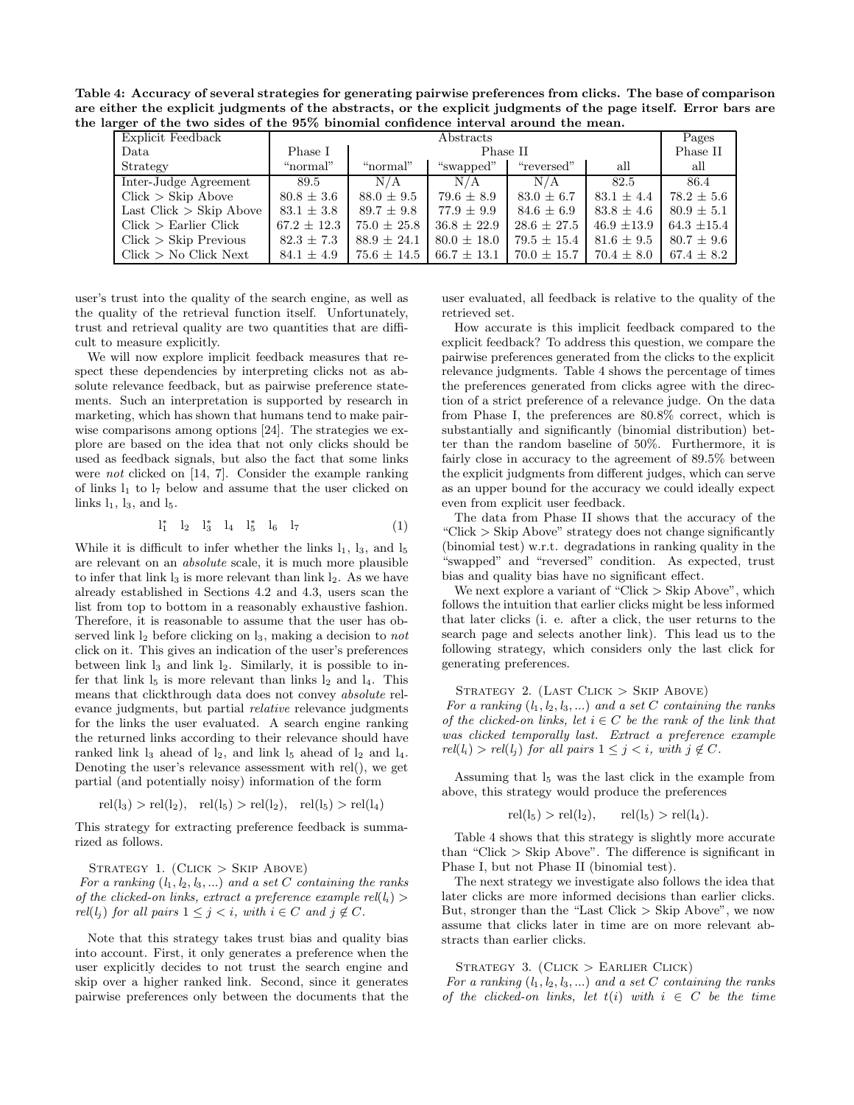**Table 4: Accuracy of several strategies for generating pairwise preferences from clicks. The base of comparison are either the explicit judgments of the abstracts, or the explicit judgments of the page itself. Error bars are the larger of the two sides of the 95% binomial confidence interval around the mean.**

| Explicit Feedback         |                 |                 | Pages           |                 |                 |                 |
|---------------------------|-----------------|-----------------|-----------------|-----------------|-----------------|-----------------|
| Data                      | Phase I         |                 | Phase II        |                 |                 |                 |
| Strategy                  | "normal"        | "normal"        | "swapped"       | "reversed"      | all             | all             |
| Inter-Judge Agreement     | 89.5            | N/A             | N/A             | N/A             | 82.5            | 86.4            |
| $Click > Skip$ Above      | $80.8 \pm 3.6$  | $88.0 \pm 9.5$  | $79.6 \pm 8.9$  | $83.0 \pm 6.7$  | $83.1 \pm 4.4$  | $78.2 \pm 5.6$  |
| Last $Click > Skip$ Above | $83.1 \pm 3.8$  | $89.7 \pm 9.8$  | $77.9 \pm 9.9$  | $84.6 \pm 6.9$  | $83.8 \pm 4.6$  | $80.9 \pm 5.1$  |
| Click > Earlier Click     | $67.2 \pm 12.3$ | $75.0 \pm 25.8$ | $36.8 \pm 22.9$ | $28.6 \pm 27.5$ | $46.9 \pm 13.9$ | $64.3 \pm 15.4$ |
| $Click > Skip$ Previous   | $82.3 \pm 7.3$  | $88.9 \pm 24.1$ | $80.0 \pm 18.0$ | $79.5 \pm 15.4$ | $81.6 \pm 9.5$  | $80.7 \pm 9.6$  |
| Click > No Click Next     | $84.1 \pm 4.9$  | $75.6 \pm 14.5$ | $66.7 \pm 13.1$ | $70.0 \pm 15.7$ | $70.4 \pm 8.0$  | $67.4 \pm 8.2$  |

user's trust into the quality of the search engine, as well as the quality of the retrieval function itself. Unfortunately, trust and retrieval quality are two quantities that are difficult to measure explicitly.

We will now explore implicit feedback measures that respect these dependencies by interpreting clicks not as absolute relevance feedback, but as pairwise preference statements. Such an interpretation is supported by research in marketing, which has shown that humans tend to make pairwise comparisons among options [24]. The strategies we explore are based on the idea that not only clicks should be used as feedback signals, but also the fact that some links were *not* clicked on [14, 7]. Consider the example ranking of links  $l_1$  to  $l_7$  below and assume that the user clicked on links  $l_1$ ,  $l_3$ , and  $l_5$ .

$$
l_1^* \quad l_2 \quad l_3^* \quad l_4 \quad l_5^* \quad l_6 \quad l_7 \tag{1}
$$

While it is difficult to infer whether the links  $l_1$ ,  $l_3$ , and  $l_5$ are relevant on an *absolute* scale, it is much more plausible to infer that link  $l_3$  is more relevant than link  $l_2$ . As we have already established in Sections 4.2 and 4.3, users scan the list from top to bottom in a reasonably exhaustive fashion. Therefore, it is reasonable to assume that the user has observed link l<sup>2</sup> before clicking on l3, making a decision to *not* click on it. This gives an indication of the user's preferences between link  $l_3$  and link  $l_2$ . Similarly, it is possible to infer that link  $l_5$  is more relevant than links  $l_2$  and  $l_4$ . This means that clickthrough data does not convey *absolute* relevance judgments, but partial *relative* relevance judgments for the links the user evaluated. A search engine ranking the returned links according to their relevance should have ranked link  $l_3$  ahead of  $l_2$ , and link  $l_5$  ahead of  $l_2$  and  $l_4$ . Denoting the user's relevance assessment with rel(), we get partial (and potentially noisy) information of the form

$$
rel(l_3) > rel(l_2), rel(l_5) > rel(l_2), rel(l_5) > rel(l_4)
$$

This strategy for extracting preference feedback is summarized as follows.

STRATEGY 1. (CLICK > SKIP ABOVE)

*For a ranking*  $(l_1, l_2, l_3, ...)$  *and a set C containing the ranks of the clicked-on links, extract a preference example rel(* $l_i$ *) > rel*( $l_j$ ) *for all pairs*  $1 \leq j < i$ *, with*  $i \in C$  *and*  $j \notin C$ *.* 

Note that this strategy takes trust bias and quality bias into account. First, it only generates a preference when the user explicitly decides to not trust the search engine and skip over a higher ranked link. Second, since it generates pairwise preferences only between the documents that the

user evaluated, all feedback is relative to the quality of the retrieved set.

How accurate is this implicit feedback compared to the explicit feedback? To address this question, we compare the pairwise preferences generated from the clicks to the explicit relevance judgments. Table 4 shows the percentage of times the preferences generated from clicks agree with the direction of a strict preference of a relevance judge. On the data from Phase I, the preferences are 80.8% correct, which is substantially and significantly (binomial distribution) better than the random baseline of 50%. Furthermore, it is fairly close in accuracy to the agreement of 89.5% between the explicit judgments from different judges, which can serve as an upper bound for the accuracy we could ideally expect even from explicit user feedback.

The data from Phase II shows that the accuracy of the "Click *>* Skip Above" strategy does not change significantly (binomial test) w.r.t. degradations in ranking quality in the "swapped" and "reversed" condition. As expected, trust bias and quality bias have no significant effect.

We next explore a variant of "Click *>* Skip Above", which follows the intuition that earlier clicks might be less informed that later clicks (i. e. after a click, the user returns to the search page and selects another link). This lead us to the following strategy, which considers only the last click for generating preferences.

STRATEGY 2. (LAST CLICK  $>$  SKIP ABOVE)

*For a ranking*  $(l_1, l_2, l_3, ...)$  *and a set C containing the ranks of the clicked-on links, let*  $i \in C$  *be the rank of the link that was clicked temporally last. Extract a preference example*  $rel(l_i) > rel(l_j)$  *for all pairs*  $1 \leq j \leq i$ *, with*  $j \notin C$ *.* 

Assuming that l<sup>5</sup> was the last click in the example from above, this strategy would produce the preferences

$$
rel(l_5) > rel(l_2),
$$
  $rel(l_5) > rel(l_4).$ 

Table 4 shows that this strategy is slightly more accurate than "Click *>* Skip Above". The difference is significant in Phase I, but not Phase II (binomial test).

The next strategy we investigate also follows the idea that later clicks are more informed decisions than earlier clicks. But, stronger than the "Last Click *>* Skip Above", we now assume that clicks later in time are on more relevant abstracts than earlier clicks.

#### STRATEGY 3. (CLICK > EARLIER CLICK)

*For a ranking*  $(l_1, l_2, l_3, ...)$  *and a set C containing the ranks of the clicked-on links, let*  $t(i)$  *with*  $i \in C$  *be the time*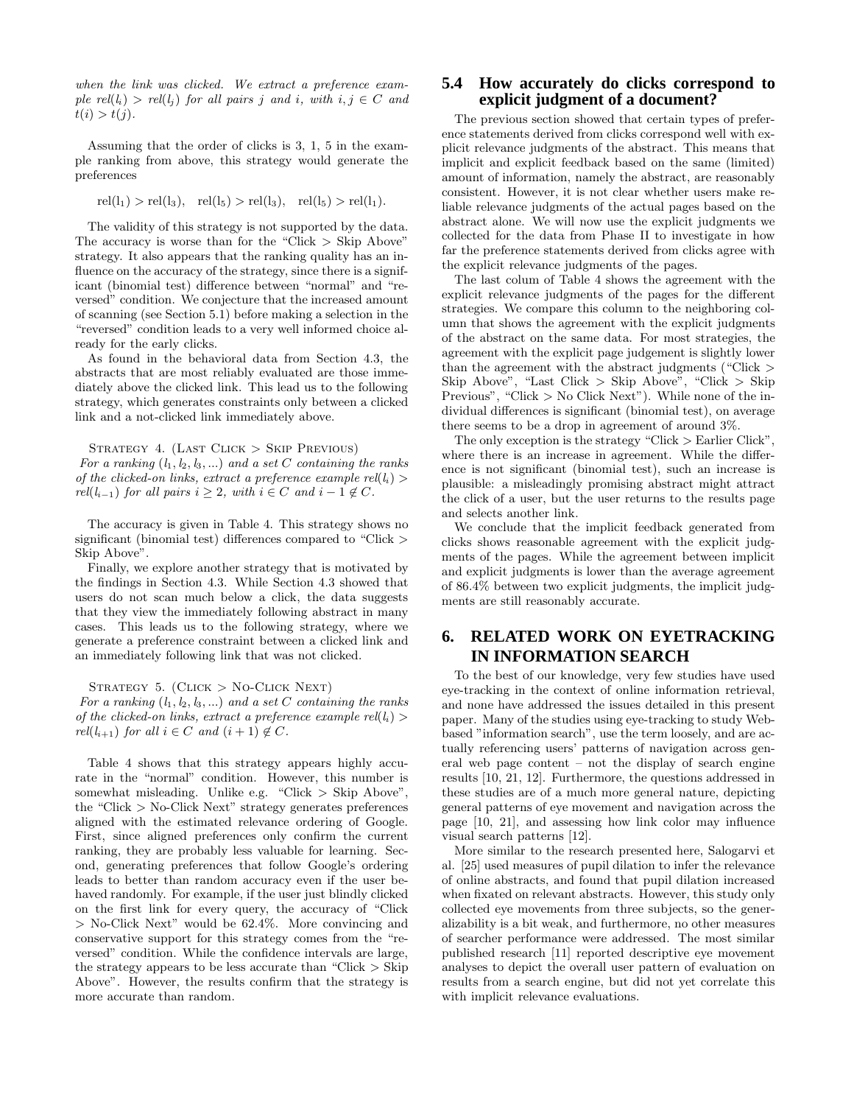*when the link was clicked. We extract a preference example rel*( $l_i$ ) *> rel*( $l_j$ ) *for all pairs j and i*, *with*  $i, j \in C$  *and*  $t(i) > t(j).$ 

Assuming that the order of clicks is 3, 1, 5 in the example ranking from above, this strategy would generate the preferences

 $rel(l_1) > rel(l_3), rel(l_5) > rel(l_3), rel(l_5) > rel(l_1).$ 

The validity of this strategy is not supported by the data. The accuracy is worse than for the "Click *>* Skip Above" strategy. It also appears that the ranking quality has an influence on the accuracy of the strategy, since there is a significant (binomial test) difference between "normal" and "reversed" condition. We conjecture that the increased amount of scanning (see Section 5.1) before making a selection in the "reversed" condition leads to a very well informed choice already for the early clicks.

As found in the behavioral data from Section 4.3, the abstracts that are most reliably evaluated are those immediately above the clicked link. This lead us to the following strategy, which generates constraints only between a clicked link and a not-clicked link immediately above.

STRATEGY 4. (LAST  $CLICK > SkIP$  PREVIOUS) *For a ranking*  $(l_1, l_2, l_3, ...)$  *and a set C containing the ranks of the clicked-on links, extract a preference example rel*(*li*) *> rel*( $l_{i-1}$ ) *for all pairs*  $i \geq 2$ *, with*  $i \in C$  *and*  $i-1 \notin C$ *.* 

The accuracy is given in Table 4. This strategy shows no significant (binomial test) differences compared to "Click *>* Skip Above".

Finally, we explore another strategy that is motivated by the findings in Section 4.3. While Section 4.3 showed that users do not scan much below a click, the data suggests that they view the immediately following abstract in many cases. This leads us to the following strategy, where we generate a preference constraint between a clicked link and an immediately following link that was not clicked.

STRATEGY 5. (CLICK > NO-CLICK NEXT)

*For a ranking*  $(l_1, l_2, l_3, ...)$  *and a set C containing the ranks of the clicked-on links, extract a preference example rel*(*li*) *> rel*( $l_{i+1}$ ) *for all*  $i \in C$  *and*  $(i+1) \notin C$ *.* 

Table 4 shows that this strategy appears highly accurate in the "normal" condition. However, this number is somewhat misleading. Unlike e.g. "Click *>* Skip Above", the "Click *>* No-Click Next" strategy generates preferences aligned with the estimated relevance ordering of Google. First, since aligned preferences only confirm the current ranking, they are probably less valuable for learning. Second, generating preferences that follow Google's ordering leads to better than random accuracy even if the user behaved randomly. For example, if the user just blindly clicked on the first link for every query, the accuracy of "Click *>* No-Click Next" would be 62.4%. More convincing and conservative support for this strategy comes from the "reversed" condition. While the confidence intervals are large, the strategy appears to be less accurate than "Click *>* Skip Above". However, the results confirm that the strategy is more accurate than random.

## **5.4 How accurately do clicks correspond to explicit judgment of a document?**

The previous section showed that certain types of preference statements derived from clicks correspond well with explicit relevance judgments of the abstract. This means that implicit and explicit feedback based on the same (limited) amount of information, namely the abstract, are reasonably consistent. However, it is not clear whether users make reliable relevance judgments of the actual pages based on the abstract alone. We will now use the explicit judgments we collected for the data from Phase II to investigate in how far the preference statements derived from clicks agree with the explicit relevance judgments of the pages.

The last colum of Table 4 shows the agreement with the explicit relevance judgments of the pages for the different strategies. We compare this column to the neighboring column that shows the agreement with the explicit judgments of the abstract on the same data. For most strategies, the agreement with the explicit page judgement is slightly lower than the agreement with the abstract judgments ("Click *>* Skip Above", "Last Click *>* Skip Above", "Click *>* Skip Previous", "Click *>* No Click Next"). While none of the individual differences is significant (binomial test), on average there seems to be a drop in agreement of around 3%.

The only exception is the strategy "Click *>* Earlier Click", where there is an increase in agreement. While the difference is not significant (binomial test), such an increase is plausible: a misleadingly promising abstract might attract the click of a user, but the user returns to the results page and selects another link.

We conclude that the implicit feedback generated from clicks shows reasonable agreement with the explicit judgments of the pages. While the agreement between implicit and explicit judgments is lower than the average agreement of 86.4% between two explicit judgments, the implicit judgments are still reasonably accurate.

# **6. RELATED WORK ON EYETRACKING IN INFORMATION SEARCH**

To the best of our knowledge, very few studies have used eye-tracking in the context of online information retrieval, and none have addressed the issues detailed in this present paper. Many of the studies using eye-tracking to study Webbased "information search", use the term loosely, and are actually referencing users' patterns of navigation across general web page content – not the display of search engine results [10, 21, 12]. Furthermore, the questions addressed in these studies are of a much more general nature, depicting general patterns of eye movement and navigation across the page [10, 21], and assessing how link color may influence visual search patterns [12].

More similar to the research presented here, Salogarvi et al. [25] used measures of pupil dilation to infer the relevance of online abstracts, and found that pupil dilation increased when fixated on relevant abstracts. However, this study only collected eye movements from three subjects, so the generalizability is a bit weak, and furthermore, no other measures of searcher performance were addressed. The most similar published research [11] reported descriptive eye movement analyses to depict the overall user pattern of evaluation on results from a search engine, but did not yet correlate this with implicit relevance evaluations.